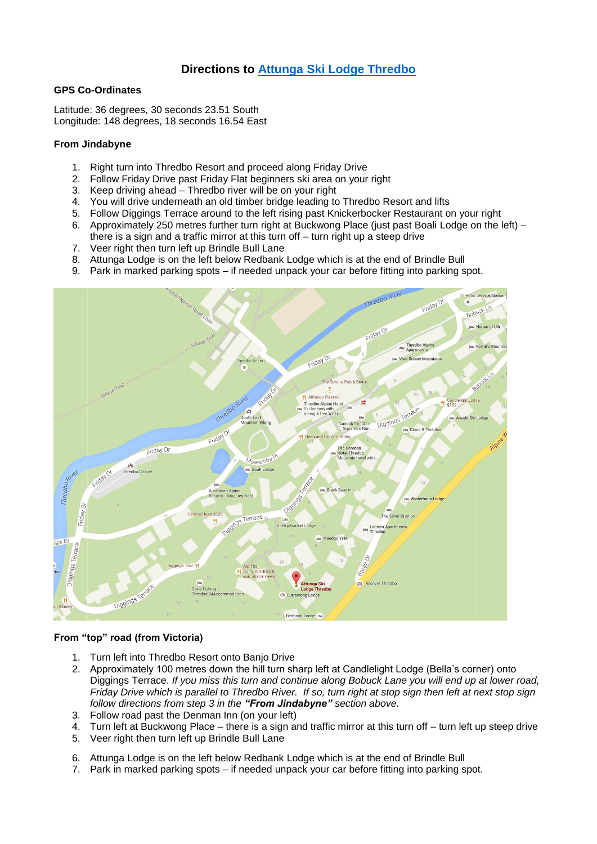## **Directions to Attunga [Ski Lodge Thredbo](https://www.google.com/maps/place/Attunga+Ski+Lodge+Thredbo/@-36.5052826,148.3031969,18z/data=!4m2!3m1!1s0x0000000000000000:0x497c84c51ce17b1f)**

## **GPS Co-Ordinates**

Latitude: 36 degrees, 30 seconds 23.51 South Longitude: 148 degrees, 18 seconds 16.54 East

## **From Jindabyne**

- 1. Right turn into Thredbo Resort and proceed along Friday Drive
- 2. Follow Friday Drive past Friday Flat beginners ski area on your right
- 3. Keep driving ahead Thredbo river will be on your right
- 4. You will drive underneath an old timber bridge leading to Thredbo Resort and lifts
- 5. Follow Diggings Terrace around to the left rising past Knickerbocker Restaurant on your right
- 6. Approximately 250 metres further turn right at Buckwong Place (just past Boali Lodge on the left) there is a sign and a traffic mirror at this turn off – turn right up a steep drive
- 7. Veer right then turn left up Brindle Bull Lane
- 8. Attunga Lodge is on the left below Redbank Lodge which is at the end of Brindle Bull
- 9. Park in marked parking spots if needed unpack your car before fitting into parking spot.



## **From "top" road (from Victoria)**

- 1. Turn left into Thredbo Resort onto Banjo Drive
- 2. Approximately 100 metres down the hill turn sharp left at Candlelight Lodge (Bella's corner) onto Diggings Terrace. *If you miss this turn and continue along Bobuck Lane you will end up at lower road, Friday Drive which is parallel to Thredbo River. If so, turn right at stop sign then left at next stop sign follow directions from step 3 in the "From Jindabyne" section above.*
- 3. Follow road past the Denman Inn (on your left)
- 4. Turn left at Buckwong Place there is a sign and traffic mirror at this turn off turn left up steep drive
- 5. Veer right then turn left up Brindle Bull Lane
- 6. Attunga Lodge is on the left below Redbank Lodge which is at the end of Brindle Bull
- 7. Park in marked parking spots if needed unpack your car before fitting into parking spot.